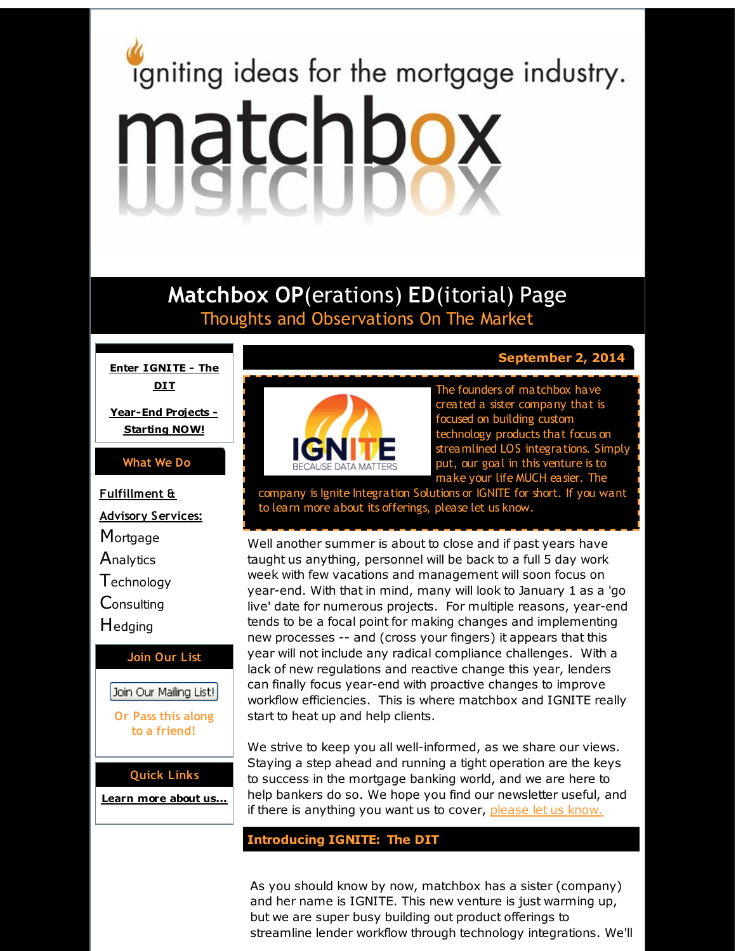# <span id="page-0-0"></span>igniting ideas for the mortgage industry. matchbox

# **Matchbox OP**(erations) **ED**(itorial) Page Thoughts and Observations On The Market

**Enter [IGNITE](#page-0-0) - The DIT**

**[Year-End](#page-0-0) Projects - Starting NOW!**

# **What We Do**

**Fulfillment & Advisory Services: Mortgage Analytics T**echnology **Consulting H**edging **Join Our List** Join Our Mailing List! **Or Pass this along to a friend!**

**Quick Links**

**[Learn](http://r20.rs6.net/tn.jsp?f=001sWQjrjh7o7NEVuVAPn56XR2LDJOed_6T_FWyXWUt0CRBSr_eJYIodTsBObnQnPMsFlsujNQnlsXfe1-9XE5i1sBPF1m6LaVnNBA9jHjwIT2mEkndqmZnrV7a9dJpNyH6jwjzTB5zibAQgNEJsa07KFwYIaf7hCQhZ324tqQ0dA1EXKWV4vtCQg==&c=&ch=) more about u[s...](http://r20.rs6.net/tn.jsp?f=001sWQjrjh7o7NEVuVAPn56XR2LDJOed_6T_FWyXWUt0CRBSr_eJYIodTsBObnQnPMsFlsujNQnlsXfe1-9XE5i1sBPF1m6LaVnNBA9jHjwIT2mEkndqmZnrV7a9dJpNyH6jwjzTB5zibAQgNEJsa07KFwYIaf7hCQhZ324tqQ0dA1EXKWV4vtCQg==&c=&ch=)**



**September 2, 2014**

The founders of matchbox have created a sister company that is focused on building custom technology products that focus on streamlined LOS integrations. Simply put, our goal in this venture is to make your life MUCH easier. The

company is Ignite Integration Solutions or IGNITE for short. If you want to learn more about its offerings, please let us know.

Well another summer is about to close and if past years have taught us anything, personnel will be back to a full 5 day work week with few vacations and management will soon focus on year-end. With that in mind, many will look to January 1 as a 'go live' date for numerous projects. For multiple reasons, year-end tends to be a focal point for making changes and implementing new processes -- and (cross your fingers) it appears that this year will not include any radical compliance challenges. With a lack of new regulations and reactive change this year, lenders can finally focus year-end with proactive changes to improve workflow efficiencies. This is where matchbox and IGNITE really start to heat up and help clients.

We strive to keep you all well-informed, as we share our views. Staying a step ahead and running a tight operation are the keys to success in the mortgage banking world, and we are here to help bankers do so. We hope you find our newsletter useful, and if there is anything you want us to cover, [please](http://r20.rs6.net/tn.jsp?f=001sWQjrjh7o7NEVuVAPn56XR2LDJOed_6T_FWyXWUt0CRBSr_eJYIodQEserIkh3QzfV0cxanhdQ7xtjqSi9OQsocSFU11UJrmtUeHvgQSXadAaJjHGBIWzgsawQgYXezRv3c8-GmVuUPs_SfEcMEB9pRG2nlPLxP7Rlyi1oJtVRlF9gQsgpjVCeiOjXIw1BwF&c=&ch=) let us know.

# **Introducing IGNITE: The DIT**

As you should know by now, matchbox has a sister (company) and her name is IGNITE. This new venture is just warming up, but we are super busy building out product offerings to streamline lender workflow through technology integrations. We'll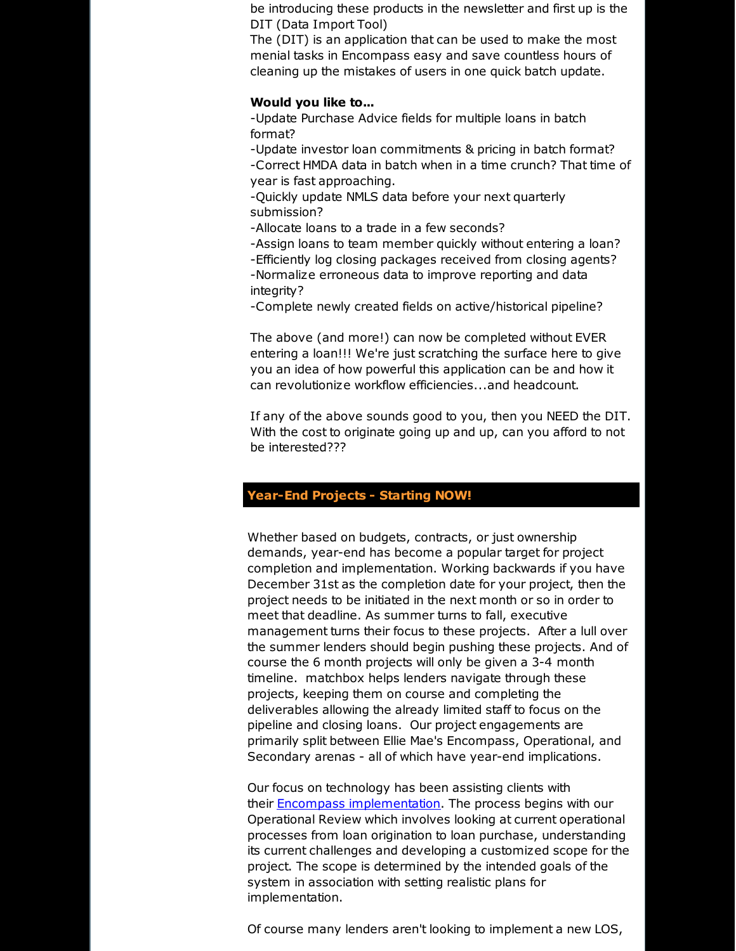be introducing these products in the newsletter and first up is the DIT (Data Import Tool)

The (DIT) is an application that can be used to make the most menial tasks in Encompass easy and save countless hours of cleaning up the mistakes of users in one quick batch update.

#### **Would you like to...**

-Update Purchase Advice fields for multiple loans in batch format?

-Update investor loan commitments & pricing in batch format?

-Correct HMDA data in batch when in a time crunch? That time of year is fast approaching.

-Quickly update NMLS data before your next quarterly submission?

-Allocate loans to a trade in a few seconds?

-Assign loans to team member quickly without entering a loan? -Efficiently log closing packages received from closing agents? -Normalize erroneous data to improve reporting and data integrity?

-Complete newly created fields on active/historical pipeline?

The above (and more!) can now be completed without EVER entering a loan!!! We're just scratching the surface here to give you an idea of how powerful this application can be and how it can revolutionize workflow efficiencies...and headcount.

If any of the above sounds good to you, then you NEED the DIT. With the cost to originate going up and up, can you afford to not be interested???

# **Year-End Projects - Starting NOW!**

Whether based on budgets, contracts, or just ownership demands, year-end has become a popular target for project completion and implementation. Working backwards if you have December 31st as the completion date for your project, then the project needs to be initiated in the next month or so in order to meet that deadline. As summer turns to fall, executive management turns their focus to these projects. After a lull over the summer lenders should begin pushing these projects. And of course the 6 month projects will only be given a 3-4 month timeline. matchbox helps lenders navigate through these projects, keeping them on course and completing the deliverables allowing the already limited staff to focus on the pipeline and closing loans. Our project engagements are primarily split between Ellie Mae's Encompass, Operational, and Secondary arenas - all of which have year-end implications.

Our focus on technology has been assisting clients with their **Encompass [implementation](http://r20.rs6.net/tn.jsp?f=001sWQjrjh7o7NEVuVAPn56XR2LDJOed_6T_FWyXWUt0CRBSr_eJYIodauEGa8lnV7FBaAqM-atGnCSP-iCROFjML7Q6y75MqNSmp8bCPqiyewmSzzVZeY9iOk7Bu_jo2y-7dzHjEgPizePHy1xXF5xAX-HhubiVhKoAYH-MfbUfCpMXRY9DtpTLlctkEUT6sWrDk29h1Fq5peHCGfDut1tMxmkuCccB7WjKa2Vmye0Zqo8IZQkQT2A-xxbG0ZxjYUvmnURcqmrKxo=&c=&ch=)**. The process begins with our Operational Review which involves looking at current operational processes from loan origination to loan purchase, understanding its current challenges and developing a customized scope for the project. The scope is determined by the intended goals of the system in association with setting realistic plans for implementation.

Of course many lenders aren't looking to implement a new LOS,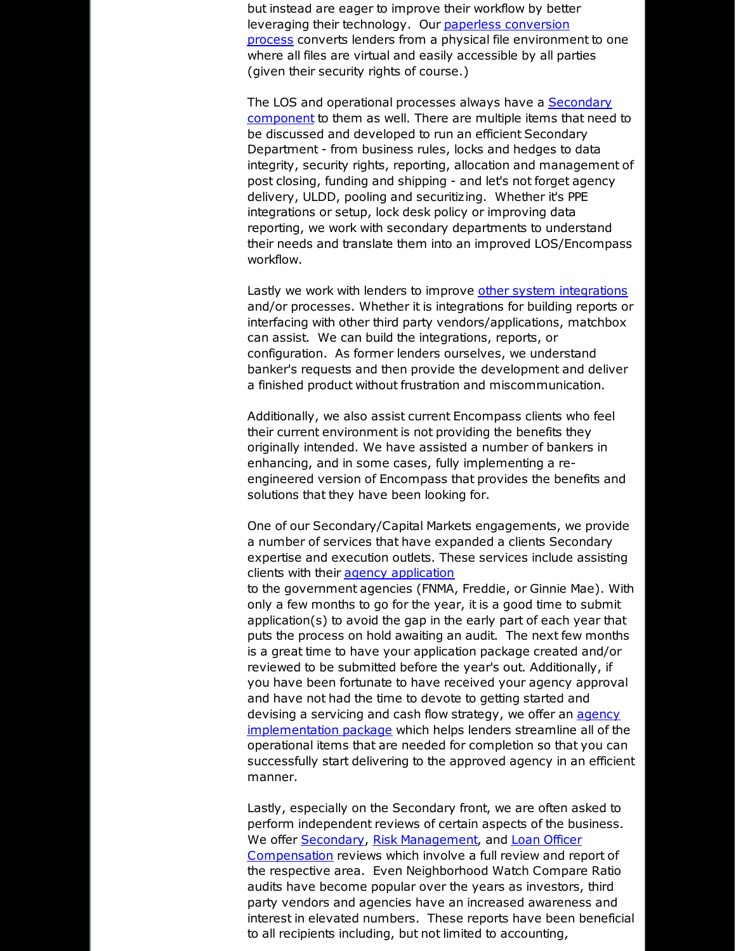but instead are eager to improve their workflow by better leveraging their [technology.](http://r20.rs6.net/tn.jsp?f=001sWQjrjh7o7NEVuVAPn56XR2LDJOed_6T_FWyXWUt0CRBSr_eJYIodSxa5-1t4zgbKiAD3oGtJ9vgjJz57uPqvPNtDUcSMaLSYAZ4YuWGYsyxe4Qz1FySZ48a94DHZuJDA6X6NZOk11MnqGCuodiH5KgX4LDtd11x_5-OqOrKVbkWE__3uL5d17o6Vrdl3h-addXVaNyJgo2a2_cQjP04ScNRzkJ0-z-XRUbRoLvGgs3J41MlqO2UD3zemRLRnuqFF0hOQYW9lvM=&c=&ch=) Our paperless conversion process converts lenders from a physical file environment to one where all files are virtual and easily accessible by all parties (given their security rights of course.)

The LOS and operational processes always have a Secondary [component](http://r20.rs6.net/tn.jsp?f=001sWQjrjh7o7NEVuVAPn56XR2LDJOed_6T_FWyXWUt0CRBSr_eJYIodauEGa8lnV7FY8k-xSxgf8RtjIPp-GTFTyz0YLIXwmXXj1YBzyMQQFWoKQSDPBuOxEevceOkglUuviKYymNhEsuX85dKT4v0Ye521qYX510SIOnF5ShVxV3KXXmSnVoGfJUSQJovSRbTRj67foKFopv9U8InWW3btlOx9jmAidNpaXNpNb4sr8umUOYftRfMR2GAUIRQZw09_IMncSIwbSU=&c=&ch=) to them as well. There are multiple items that need to be discussed and developed to run an efficient Secondary Department - from business rules, locks and hedges to data integrity, security rights, reporting, allocation and management of post closing, funding and shipping - and let's not forget agency delivery, ULDD, pooling and securitizing. Whether it's PPE integrations or setup, lock desk policy or improving data reporting, we work with secondary departments to understand their needs and translate them into an improved LOS/Encompass workflow.

Lastly we work with lenders to improve other system [integrations](http://r20.rs6.net/tn.jsp?f=001sWQjrjh7o7NEVuVAPn56XR2LDJOed_6T_FWyXWUt0CRBSr_eJYIodauEGa8lnV7FfMAlPC1bmSEAfItI8cXkOtHkpMA2H1T8uTFuY3EY0BMzJzWae1897jDZGuNCz5Ippl2LYCtx7_9yZrbtvIpFTbmBrH3rtzvVejD0cwfiyvhOUSNwfh37rNqn_M5BV5viMUtPFHRwvRx3iIICSTtZEVWh5U1X5aGWdEXGZ98JWXsYhBFpsjz-_lsXpljCUD62ljVnpms2pQ4=&c=&ch=) and/or processes. Whether it is integrations for building reports or interfacing with other third party vendors/applications, matchbox can assist. We can build the integrations, reports, or configuration. As former lenders ourselves, we understand banker's requests and then provide the development and deliver a finished product without frustration and miscommunication.

Additionally, we also assist current Encompass clients who feel their current environment is not providing the benefits they originally intended. We have assisted a number of bankers in enhancing, and in some cases, fully implementing a reengineered version of Encompass that provides the benefits and solutions that they have been looking for.

One of our Secondary/Capital Markets engagements, we provide a number of services that have expanded a clients Secondary expertise and execution outlets. These services include assisting clients with their agency [application](http://r20.rs6.net/tn.jsp?f=001sWQjrjh7o7NEVuVAPn56XR2LDJOed_6T_FWyXWUt0CRBSr_eJYIodSxa5-1t4zgbjGhGcQxIsRBVeg6JLvxJ_2nFKJWVWjuboeN72ziMWF8w_nQQYXPnJD94DLIJvCTskXPxVGO1QDJpGysARgJQYxDRPQ3hVxDuhYGdI1fvMqYLqgPbcII9WJQwkpQTBezYf0nwTuO5tgAHmpC45JCw1w1USujH6zGWlmvYQnLYqkt1swwU-R-7PcjwNzLHJCVqBBzj2Wp6COE=&c=&ch=)

to the government agencies (FNMA, Freddie, or Ginnie Mae). With only a few months to go for the year, it is a good time to submit application(s) to avoid the gap in the early part of each year that puts the process on hold awaiting an audit. The next few months is a great time to have your application package created and/or reviewed to be submitted before the year's out. Additionally, if you have been fortunate to have received your agency approval and have not had the time to devote to getting started and devising a servicing and cash flow strategy, we offer an agency [implementation](http://r20.rs6.net/tn.jsp?f=001sWQjrjh7o7NEVuVAPn56XR2LDJOed_6T_FWyXWUt0CRBSr_eJYIodSxa5-1t4zgbugsjuZSxDpE2ljckkbvIHVoQTvabJCBCOMN9qQNUHDh5kxTu7IB4sENsWeWCRftrrlkC1yCHqgL6AbKV5SPonjNjncJ7cACpguzyi5qO2E7HSkj9a0CaD7MT0lgIyPGz1mzttjROb6_bH7G3oA0oaC2QUGZIIV4eatlqFI-tRF1eyf45VCMPo5RDAY1uC18Mmbez7jdiw-s=&c=&ch=) package which helps lenders streamline all of the operational items that are needed for completion so that you can successfully start delivering to the approved agency in an efficient manner.

Lastly, especially on the Secondary front, we are often asked to perform independent reviews of certain aspects of the business. We offer [Secondary](http://r20.rs6.net/tn.jsp?f=001sWQjrjh7o7NEVuVAPn56XR2LDJOed_6T_FWyXWUt0CRBSr_eJYIodSxa5-1t4zgb6G-3UUFUmdxaF2OqTJqGRa9ch7Vze7bvCjivOMyuFmMAoceOHhg_8YoxvRJOQ2SZYoNOae_H6WF7rBSi4tqnO31IuSWPk3socCFKNUkgvc52Tw7U4aKVhwOKGVm41LE4XM73LifMXu0F7BZ6-KmMEVMl6FEI-7NdQq7Z-EQqLFkVG5MahuKgrV8gykrt6-QKCXFN0e2IbZw=&c=&ch=), Risk [Management](http://r20.rs6.net/tn.jsp?f=001sWQjrjh7o7NEVuVAPn56XR2LDJOed_6T_FWyXWUt0CRBSr_eJYIodSxa5-1t4zgbcp2iz23CKQJDiIC2oPnzKjRNIeo61fMklHfCjmasL6sFrLx-e8m25rmHfcqGDtWXkpjibEVitkp76y9ZwKYjrriY5BW-21Z6MfW1prwB3XDTdDoaafodSkzXQHHQ8CzsUufr_BJjh5YomoPliv5wcfmr52DRKpLuvud3vTEzc-Db5MT-s0G6UbgQhiWJ_zVk2Xp_S_RJ6gY=&c=&ch=), and Loan Officer [Compensation](http://r20.rs6.net/tn.jsp?f=001sWQjrjh7o7NEVuVAPn56XR2LDJOed_6T_FWyXWUt0CRBSr_eJYIodauEGa8lnV7FfnbjRCVPB-XpI9seAswqo8GkP2WM7HMtAUWfbfkNLm6nB6l4KYHF5rTKfJVZLJk6-ZRnhvOiOtCxadcLgpEuMEMXP7GQ6CKEfaPo4cdNeOjF30P14-o_P7RxbSkBSctuI-2B2jja8B0Qkm1YklPI_Y8Awwgtvr02iDS8gUx1TJJ1zknkylU3qKLM3aD50BggfAxO17H-Y4k=&c=&ch=) reviews which involve a full review and report of the respective area. Even Neighborhood Watch Compare Ratio audits have become popular over the years as investors, third party vendors and agencies have an increased awareness and interest in elevated numbers. These reports have been beneficial to all recipients including, but not limited to accounting,